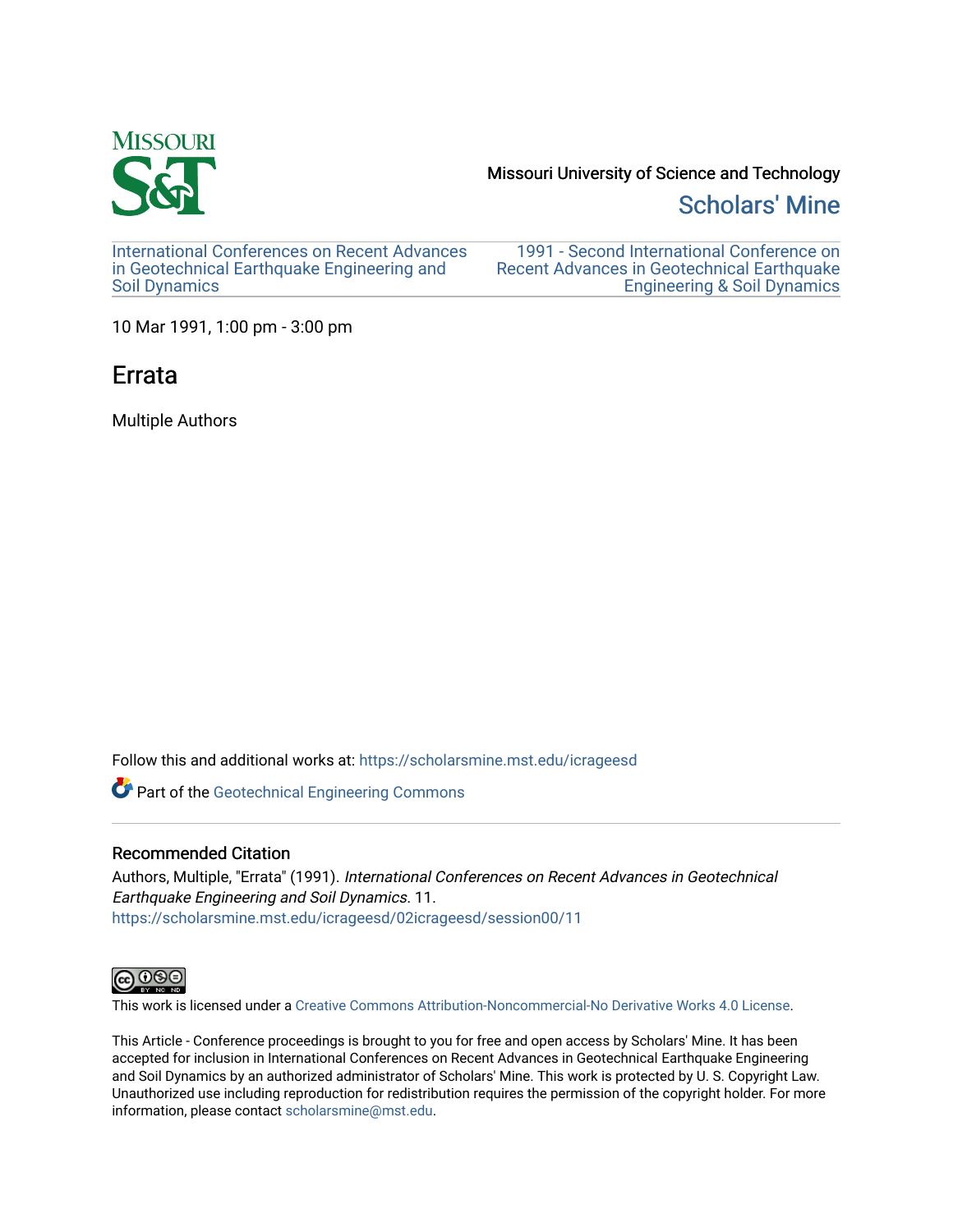

Missouri University of Science and Technology

## [Scholars' Mine](https://scholarsmine.mst.edu/)

[International Conferences on Recent Advances](https://scholarsmine.mst.edu/icrageesd) [in Geotechnical Earthquake Engineering and](https://scholarsmine.mst.edu/icrageesd)  [Soil Dynamics](https://scholarsmine.mst.edu/icrageesd) 

[1991 - Second International Conference on](https://scholarsmine.mst.edu/icrageesd/02icrageesd)  [Recent Advances in Geotechnical Earthquake](https://scholarsmine.mst.edu/icrageesd/02icrageesd)  [Engineering & Soil Dynamics](https://scholarsmine.mst.edu/icrageesd/02icrageesd) 

10 Mar 1991, 1:00 pm - 3:00 pm

# Errata

Multiple Authors

Follow this and additional works at: [https://scholarsmine.mst.edu/icrageesd](https://scholarsmine.mst.edu/icrageesd?utm_source=scholarsmine.mst.edu%2Ficrageesd%2F02icrageesd%2Fsession00%2F11&utm_medium=PDF&utm_campaign=PDFCoverPages) 

Part of the [Geotechnical Engineering Commons](http://network.bepress.com/hgg/discipline/255?utm_source=scholarsmine.mst.edu%2Ficrageesd%2F02icrageesd%2Fsession00%2F11&utm_medium=PDF&utm_campaign=PDFCoverPages) 

### Recommended Citation

Authors, Multiple, "Errata" (1991). International Conferences on Recent Advances in Geotechnical Earthquake Engineering and Soil Dynamics. 11. [https://scholarsmine.mst.edu/icrageesd/02icrageesd/session00/11](https://scholarsmine.mst.edu/icrageesd/02icrageesd/session00/11?utm_source=scholarsmine.mst.edu%2Ficrageesd%2F02icrageesd%2Fsession00%2F11&utm_medium=PDF&utm_campaign=PDFCoverPages)



This work is licensed under a [Creative Commons Attribution-Noncommercial-No Derivative Works 4.0 License.](https://creativecommons.org/licenses/by-nc-nd/4.0/)

This Article - Conference proceedings is brought to you for free and open access by Scholars' Mine. It has been accepted for inclusion in International Conferences on Recent Advances in Geotechnical Earthquake Engineering and Soil Dynamics by an authorized administrator of Scholars' Mine. This work is protected by U. S. Copyright Law. Unauthorized use including reproduction for redistribution requires the permission of the copyright holder. For more information, please contact [scholarsmine@mst.edu](mailto:scholarsmine@mst.edu).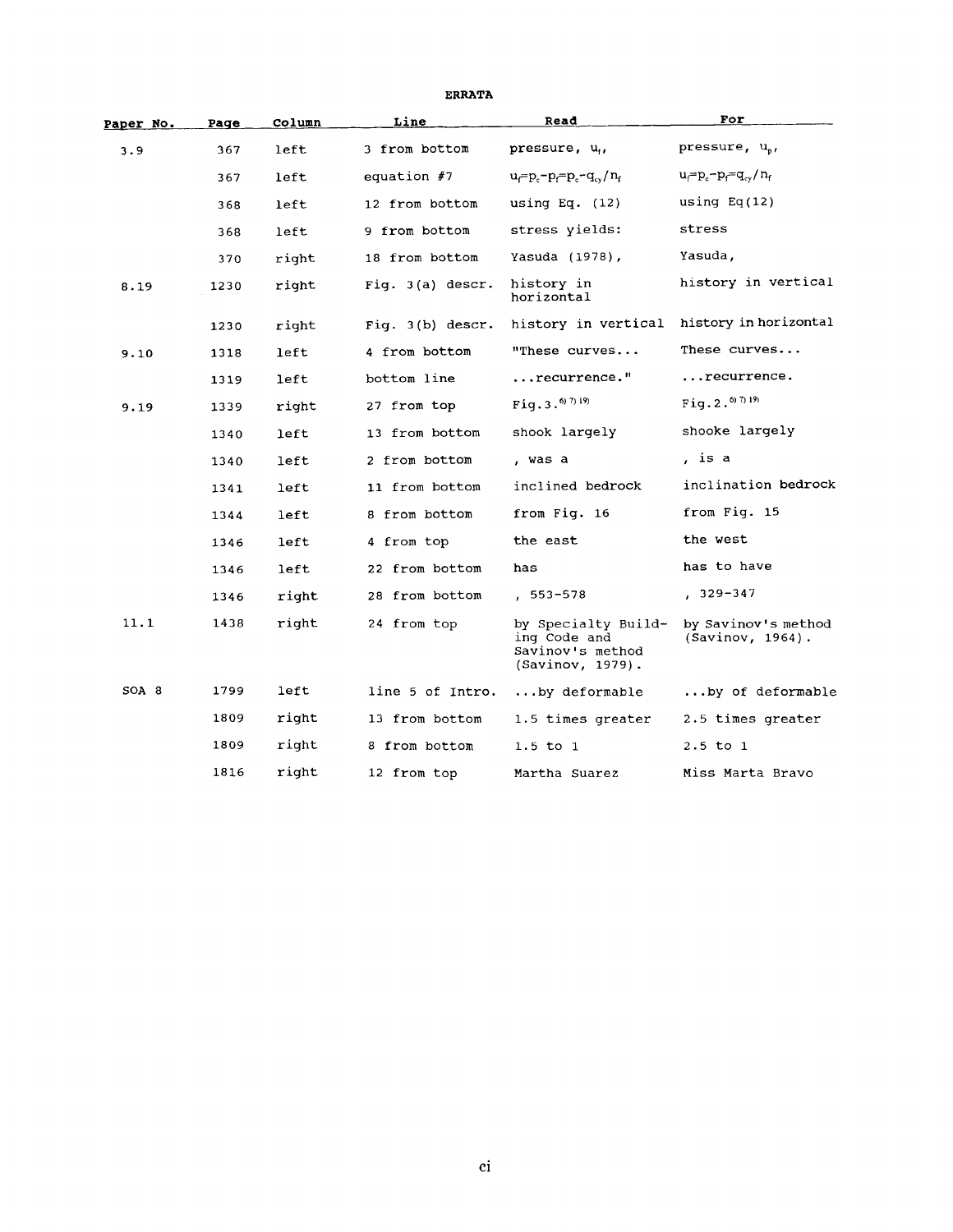| Paper No. | Page | Column | Read<br>Line       |                                                                             | For                                        |  |
|-----------|------|--------|--------------------|-----------------------------------------------------------------------------|--------------------------------------------|--|
| 3.9       | 367  | left   | 3 from bottom      | pressure, u <sub>r</sub> ,                                                  | pressure, u <sub>n</sub> ,                 |  |
|           | 367  | left   | equation $#7$      | $u_{\text{r}} = p_{\text{r}} = p_{\text{r}} - q_{\text{cv}}/n_{\text{r}}$   | $u_f = p_c - p_f = q_{cy}/n_f$             |  |
|           | 368  | left   | 12 from bottom     | using Eq. $(12)$                                                            | using $Eq(12)$                             |  |
|           | 368  | left   | 9 from bottom      | stress yields:                                                              | stress                                     |  |
|           | 370  | right  | 18 from bottom     | Yasuda (1978),                                                              | Yasuda,                                    |  |
| 8.19      | 1230 | right  | Fig. 3(a) descr.   | history in<br>horizontal                                                    | history in vertical                        |  |
|           | 1230 | right  | Fig. $3(b)$ descr. | history in vertical                                                         | history in horizontal                      |  |
| 9.10      | 1318 | left   | 4 from bottom      | "These curves                                                               | These curves                               |  |
|           | 1319 | left   | bottom line        | recurrence."                                                                | recurrence.                                |  |
| 9.19      | 1339 | right  | 27 from top        | Fig. $3.6719$                                                               | Fig. 2. $^{6/7/19}$                        |  |
|           | 1340 | left   | 13 from bottom     | shook largely                                                               | shooke largely                             |  |
|           | 1340 | left   | 2 from bottom      | , was a                                                                     | , is a                                     |  |
|           | 1341 | left   | 11 from bottom     | inclined bedrock                                                            | inclination bedrock                        |  |
|           | 1344 | left   | 8 from bottom      | from Fig. 16                                                                | from Fig. 15                               |  |
|           | 1346 | left   | 4 from top         | the east                                                                    | the west                                   |  |
|           | 1346 | left   | 22 from bottom     | has                                                                         | has to have                                |  |
|           | 1346 | right  | 28 from bottom     | $, 553 - 578$                                                               | $, 329 - 347$                              |  |
| 11.1      | 1438 | right  | 24 from top        | by Specialty Build-<br>ing Code and<br>Savinov's method<br>(Savinov, 1979). | by Savinov's method<br>$(Savinov, 1964)$ . |  |
| SOA 8     | 1799 | left   | line 5 of Intro.   | $\ldots$ by deformable                                                      | by of deformable                           |  |
|           | 1809 | right  | 13 from bottom     | 1.5 times greater                                                           | 2.5 times greater                          |  |
|           | 1809 | right  | 8 from bottom      | $1.5$ to $1$                                                                | $2.5$ to $1$                               |  |
|           | 1816 | right  | 12 from top        | Martha Suarez                                                               | Miss Marta Bravo                           |  |

#### **ERRATA**